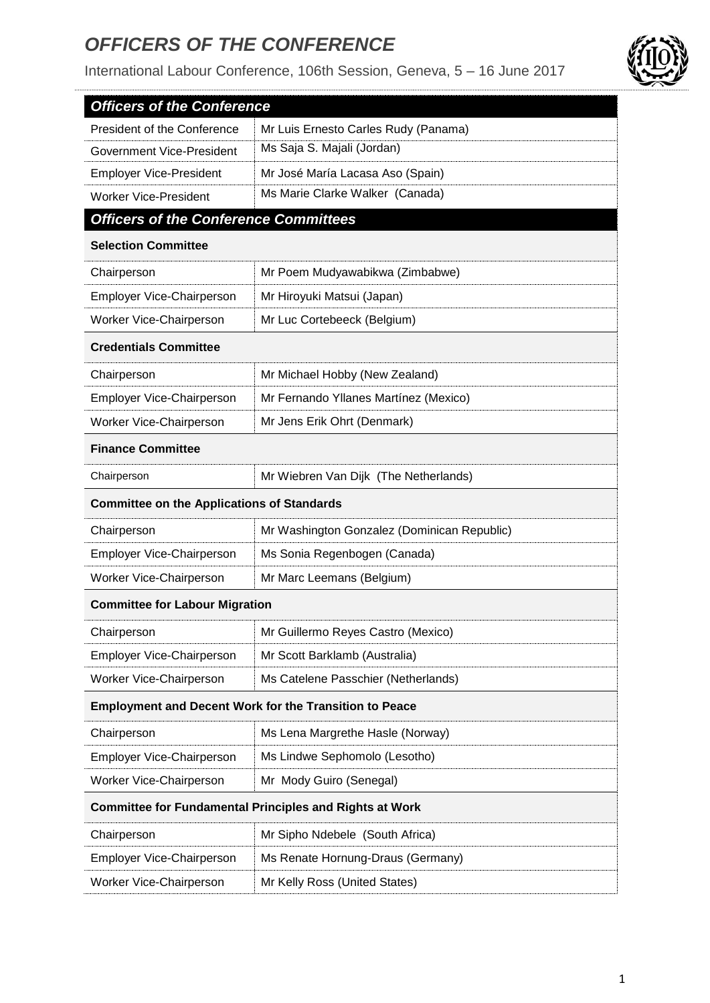## *OFFICERS OF THE CONFERENCE*

. . . . . . . . . . . . . . .

International Labour Conference, 106th Session, Geneva, 5 – 16 June 2017



| <b>Officers of the Conference</b>                 |                                                                |  |
|---------------------------------------------------|----------------------------------------------------------------|--|
| President of the Conference                       | Mr Luis Ernesto Carles Rudy (Panama)                           |  |
| Government Vice-President                         | Ms Saja S. Majali (Jordan)                                     |  |
| <b>Employer Vice-President</b>                    | Mr José María Lacasa Aso (Spain)                               |  |
| <b>Worker Vice-President</b>                      | Ms Marie Clarke Walker (Canada)                                |  |
| <b>Officers of the Conference Committees</b>      |                                                                |  |
| <b>Selection Committee</b>                        |                                                                |  |
| Chairperson                                       | Mr Poem Mudyawabikwa (Zimbabwe)                                |  |
| Employer Vice-Chairperson                         | Mr Hiroyuki Matsui (Japan)                                     |  |
| Worker Vice-Chairperson                           | Mr Luc Cortebeeck (Belgium)                                    |  |
| <b>Credentials Committee</b>                      |                                                                |  |
| Chairperson                                       | Mr Michael Hobby (New Zealand)                                 |  |
| Employer Vice-Chairperson                         | Mr Fernando Yllanes Martínez (Mexico)                          |  |
| Worker Vice-Chairperson                           | Mr Jens Erik Ohrt (Denmark)                                    |  |
| <b>Finance Committee</b>                          |                                                                |  |
| Chairperson                                       | Mr Wiebren Van Dijk (The Netherlands)                          |  |
| <b>Committee on the Applications of Standards</b> |                                                                |  |
| Chairperson                                       | Mr Washington Gonzalez (Dominican Republic)                    |  |
| Employer Vice-Chairperson                         | Ms Sonia Regenbogen (Canada)                                   |  |
| Worker Vice-Chairperson                           | Mr Marc Leemans (Belgium)                                      |  |
| <b>Committee for Labour Migration</b>             |                                                                |  |
| Chairperson                                       | Mr Guillermo Reyes Castro (Mexico)                             |  |
| Employer Vice-Chairperson                         |                                                                |  |
|                                                   | Mr Scott Barklamb (Australia)                                  |  |
| Worker Vice-Chairperson                           | Ms Catelene Passchier (Netherlands)                            |  |
|                                                   | <b>Employment and Decent Work for the Transition to Peace</b>  |  |
| Chairperson                                       | Ms Lena Margrethe Hasle (Norway)                               |  |
| Employer Vice-Chairperson                         | Ms Lindwe Sephomolo (Lesotho)                                  |  |
| Worker Vice-Chairperson                           | Mr Mody Guiro (Senegal)                                        |  |
|                                                   | <b>Committee for Fundamental Principles and Rights at Work</b> |  |
| Chairperson                                       | Mr Sipho Ndebele (South Africa)                                |  |
| Employer Vice-Chairperson                         | Ms Renate Hornung-Draus (Germany)                              |  |